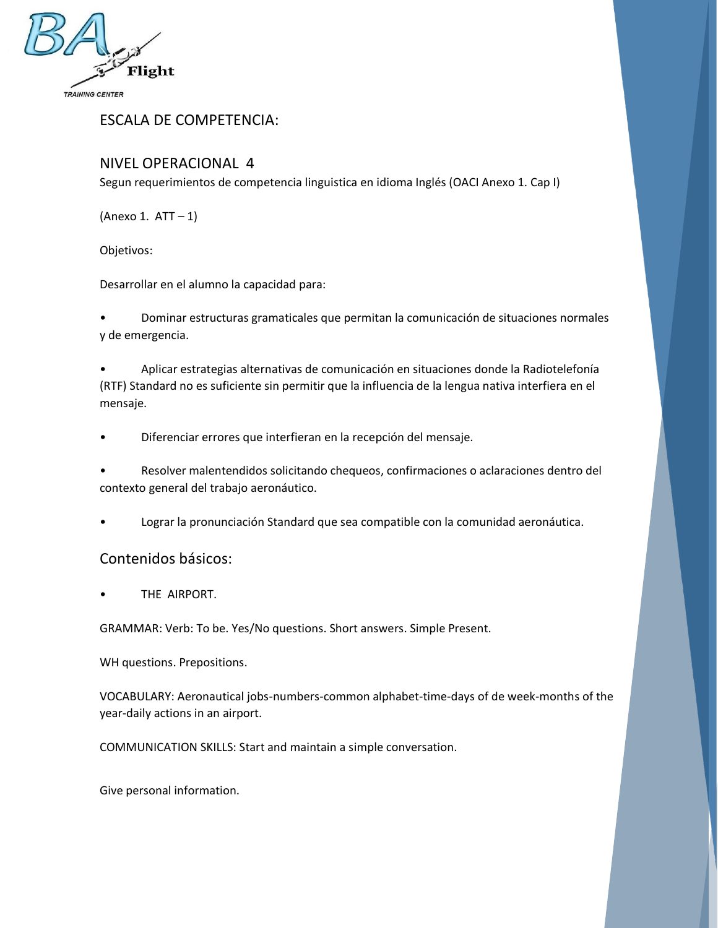

ESCALA DE COMPETENCIA:

# NIVEL OPERACIONAL 4

Segun requerimientos de competencia linguistica en idioma Inglés (OACI Anexo 1. Cap I)

(Anexo 1. ATT – 1)

Objetivos:

Desarrollar en el alumno la capacidad para:

• Dominar estructuras gramaticales que permitan la comunicación de situaciones normales y de emergencia.

• Aplicar estrategias alternativas de comunicación en situaciones donde la Radiotelefonía (RTF) Standard no es suficiente sin permitir que la influencia de la lengua nativa interfiera en el mensaje.

• Diferenciar errores que interfieran en la recepción del mensaje.

• Resolver malentendidos solicitando chequeos, confirmaciones o aclaraciones dentro del contexto general del trabajo aeronáutico.

• Lograr la pronunciación Standard que sea compatible con la comunidad aeronáutica.

### Contenidos básicos:

THE AIRPORT.

GRAMMAR: Verb: To be. Yes/No questions. Short answers. Simple Present.

WH questions. Prepositions.

VOCABULARY: Aeronautical jobs-numbers-common alphabet-time-days of de week-months of the year-daily actions in an airport.

COMMUNICATION SKILLS: Start and maintain a simple conversation.

Give personal information.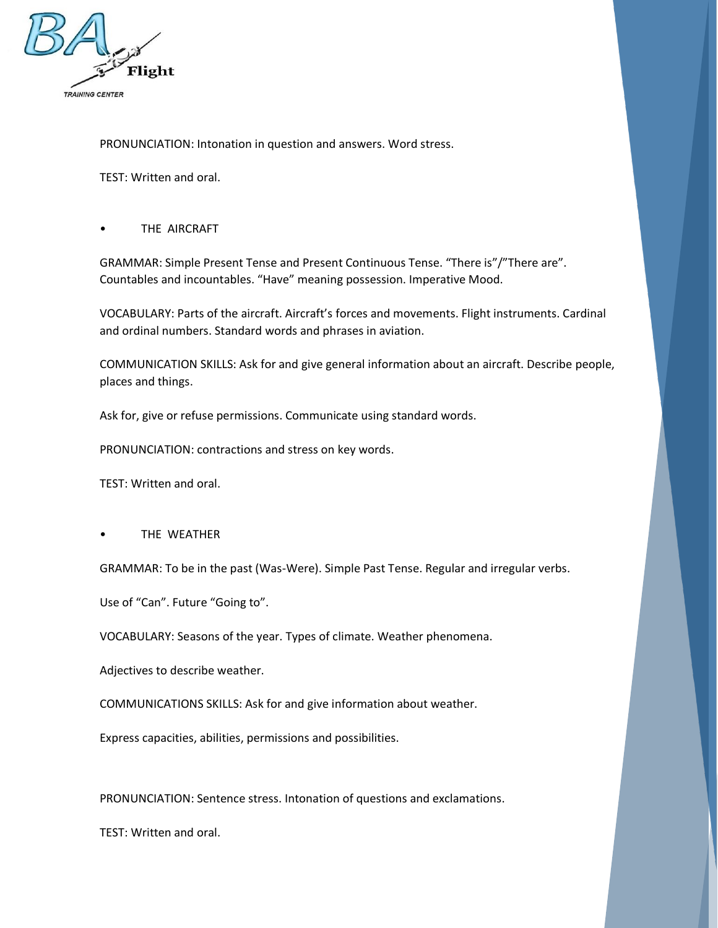

PRONUNCIATION: Intonation in question and answers. Word stress.

TEST: Written and oral.

THE AIRCRAFT

GRAMMAR: Simple Present Tense and Present Continuous Tense. "There is"/"There are". Countables and incountables. "Have" meaning possession. Imperative Mood.

VOCABULARY: Parts of the aircraft. Aircraft's forces and movements. Flight instruments. Cardinal and ordinal numbers. Standard words and phrases in aviation.

COMMUNICATION SKILLS: Ask for and give general information about an aircraft. Describe people, places and things.

Ask for, give or refuse permissions. Communicate using standard words.

PRONUNCIATION: contractions and stress on key words.

TEST: Written and oral.

THE WEATHER

GRAMMAR: To be in the past (Was-Were). Simple Past Tense. Regular and irregular verbs.

Use of "Can". Future "Going to".

VOCABULARY: Seasons of the year. Types of climate. Weather phenomena.

Adjectives to describe weather.

COMMUNICATIONS SKILLS: Ask for and give information about weather.

Express capacities, abilities, permissions and possibilities.

PRONUNCIATION: Sentence stress. Intonation of questions and exclamations.

TEST: Written and oral.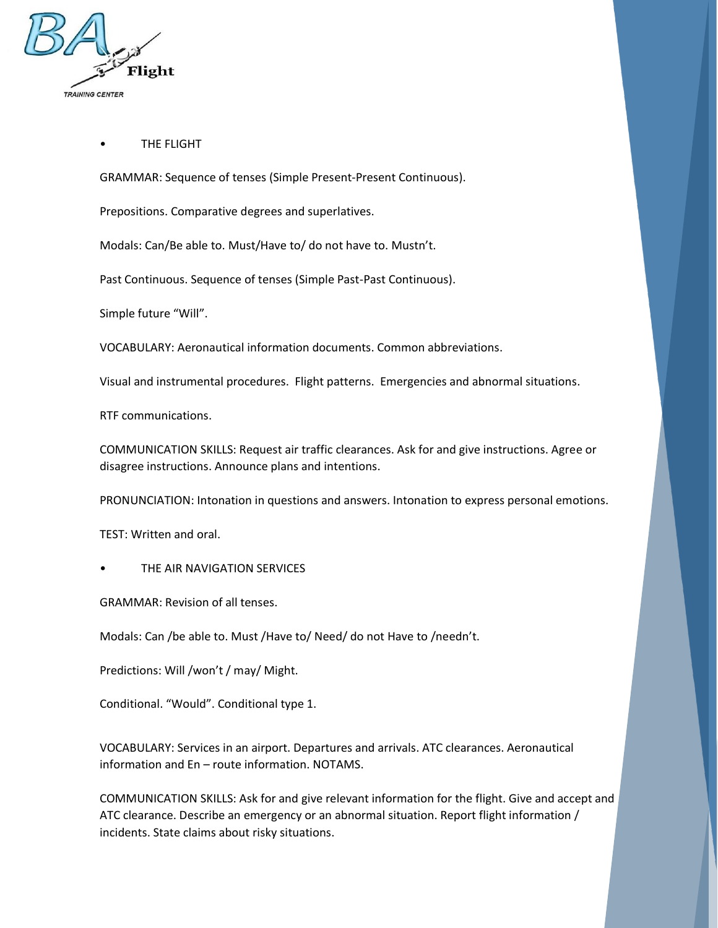

#### **THE FLIGHT**

GRAMMAR: Sequence of tenses (Simple Present-Present Continuous).

Prepositions. Comparative degrees and superlatives.

Modals: Can/Be able to. Must/Have to/ do not have to. Mustn't.

Past Continuous. Sequence of tenses (Simple Past-Past Continuous).

Simple future "Will".

VOCABULARY: Aeronautical information documents. Common abbreviations.

Visual and instrumental procedures. Flight patterns. Emergencies and abnormal situations.

RTF communications.

COMMUNICATION SKILLS: Request air traffic clearances. Ask for and give instructions. Agree or disagree instructions. Announce plans and intentions.

PRONUNCIATION: Intonation in questions and answers. Intonation to express personal emotions.

TEST: Written and oral.

THE AIR NAVIGATION SERVICES

GRAMMAR: Revision of all tenses.

Modals: Can /be able to. Must /Have to/ Need/ do not Have to /needn't.

Predictions: Will /won't / may/ Might.

Conditional. "Would". Conditional type 1.

VOCABULARY: Services in an airport. Departures and arrivals. ATC clearances. Aeronautical information and En – route information. NOTAMS.

COMMUNICATION SKILLS: Ask for and give relevant information for the flight. Give and accept and ATC clearance. Describe an emergency or an abnormal situation. Report flight information / incidents. State claims about risky situations.